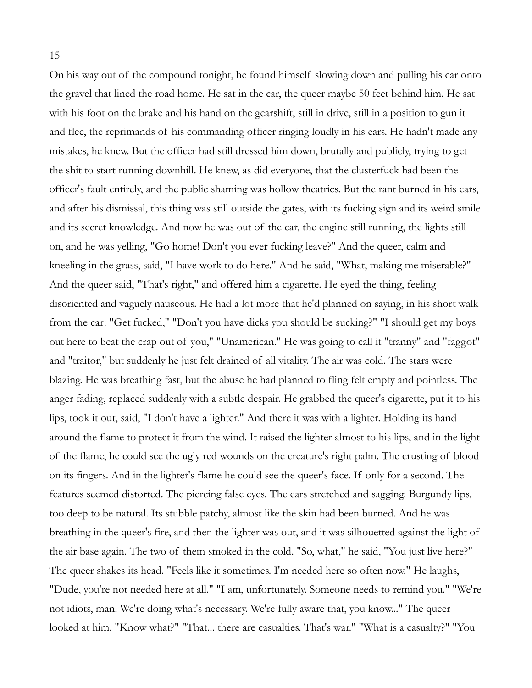On his way out of the compound tonight, he found himself slowing down and pulling his car onto the gravel that lined the road home. He sat in the car, the queer maybe 50 feet behind him. He sat with his foot on the brake and his hand on the gearshift, still in drive, still in a position to gun it and flee, the reprimands of his commanding officer ringing loudly in his ears. He hadn't made any mistakes, he knew. But the officer had still dressed him down, brutally and publicly, trying to get the shit to start running downhill. He knew, as did everyone, that the clusterfuck had been the officer's fault entirely, and the public shaming was hollow theatrics. But the rant burned in his ears, and after his dismissal, this thing was still outside the gates, with its fucking sign and its weird smile and its secret knowledge. And now he was out of the car, the engine still running, the lights still on, and he was yelling, "Go home! Don't you ever fucking leave?" And the queer, calm and kneeling in the grass, said, "I have work to do here." And he said, "What, making me miserable?" And the queer said, "That's right," and offered him a cigarette. He eyed the thing, feeling disoriented and vaguely nauseous. He had a lot more that he'd planned on saying, in his short walk from the car: "Get fucked," "Don't you have dicks you should be sucking?" "I should get my boys out here to beat the crap out of you," "Unamerican." He was going to call it "tranny" and "faggot" and "traitor," but suddenly he just felt drained of all vitality. The air was cold. The stars were blazing. He was breathing fast, but the abuse he had planned to fling felt empty and pointless. The anger fading, replaced suddenly with a subtle despair. He grabbed the queer's cigarette, put it to his lips, took it out, said, "I don't have a lighter." And there it was with a lighter. Holding its hand around the flame to protect it from the wind. It raised the lighter almost to his lips, and in the light of the flame, he could see the ugly red wounds on the creature's right palm. The crusting of blood on its fingers. And in the lighter's flame he could see the queer's face. If only for a second. The features seemed distorted. The piercing false eyes. The ears stretched and sagging. Burgundy lips, too deep to be natural. Its stubble patchy, almost like the skin had been burned. And he was breathing in the queer's fire, and then the lighter was out, and it was silhouetted against the light of the air base again. The two of them smoked in the cold. "So, what," he said, "You just live here?" The queer shakes its head. "Feels like it sometimes. I'm needed here so often now." He laughs, "Dude, you're not needed here at all." "I am, unfortunately. Someone needs to remind you." "We're not idiots, man. We're doing what's necessary. We're fully aware that, you know..." The queer looked at him. "Know what?" "That... there are casualties. That's war." "What is a casualty?" "You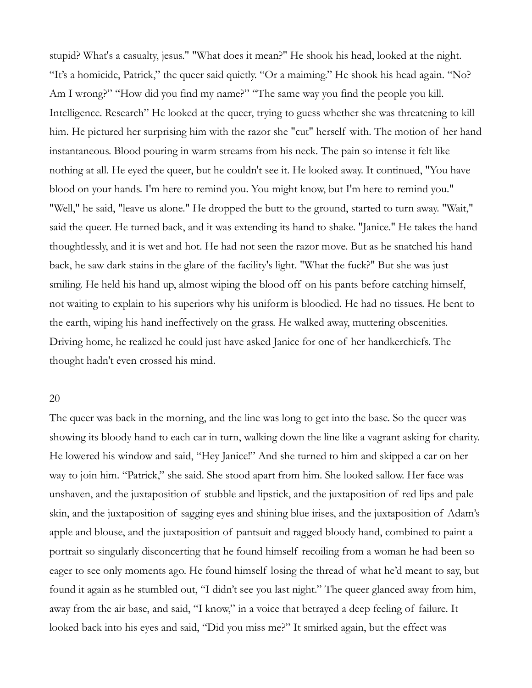stupid? What's a casualty, jesus." "What does it mean?" He shook his head, looked at the night. "It's a homicide, Patrick," the queer said quietly. "Or a maiming." He shook his head again. "No? Am I wrong?" "How did you find my name?" "The same way you find the people you kill. Intelligence. Research" He looked at the queer, trying to guess whether she was threatening to kill him. He pictured her surprising him with the razor she "cut" herself with. The motion of her hand instantaneous. Blood pouring in warm streams from his neck. The pain so intense it felt like nothing at all. He eyed the queer, but he couldn't see it. He looked away. It continued, "You have blood on your hands. I'm here to remind you. You might know, but I'm here to remind you." "Well," he said, "leave us alone." He dropped the butt to the ground, started to turn away. "Wait," said the queer. He turned back, and it was extending its hand to shake. "Janice." He takes the hand thoughtlessly, and it is wet and hot. He had not seen the razor move. But as he snatched his hand back, he saw dark stains in the glare of the facility's light. "What the fuck?" But she was just smiling. He held his hand up, almost wiping the blood off on his pants before catching himself, not waiting to explain to his superiors why his uniform is bloodied. He had no tissues. He bent to the earth, wiping his hand ineffectively on the grass. He walked away, muttering obscenities. Driving home, he realized he could just have asked Janice for one of her handkerchiefs. The thought hadn't even crossed his mind.

## 20

The queer was back in the morning, and the line was long to get into the base. So the queer was showing its bloody hand to each car in turn, walking down the line like a vagrant asking for charity. He lowered his window and said, "Hey Janice!" And she turned to him and skipped a car on her way to join him. "Patrick," she said. She stood apart from him. She looked sallow. Her face was unshaven, and the juxtaposition of stubble and lipstick, and the juxtaposition of red lips and pale skin, and the juxtaposition of sagging eyes and shining blue irises, and the juxtaposition of Adam's apple and blouse, and the juxtaposition of pantsuit and ragged bloody hand, combined to paint a portrait so singularly disconcerting that he found himself recoiling from a woman he had been so eager to see only moments ago. He found himself losing the thread of what he'd meant to say, but found it again as he stumbled out, "I didn't see you last night." The queer glanced away from him, away from the air base, and said, "I know," in a voice that betrayed a deep feeling of failure. It looked back into his eyes and said, "Did you miss me?" It smirked again, but the effect was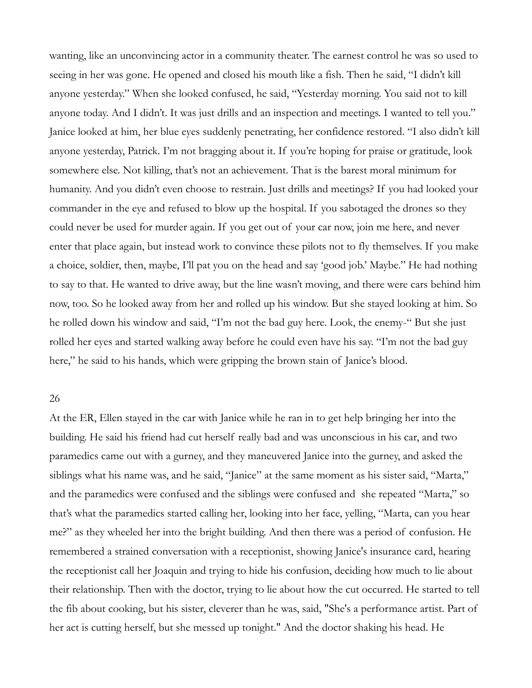wanting, like an unconvincing actor in a community theater. The earnest control he was so used to seeing in her was gone. He opened and closed his mouth like a fish. Then he said, "I didn't kill anyone yesterday." When she looked confused, he said, "Yesterday morning. You said not to kill anyone today. And I didn't. It was just drills and an inspection and meetings. I wanted to tell you." Janice looked at him, her blue eyes suddenly penetrating, her confidence restored. "I also didn't kill anyone yesterday, Patrick. I'm not bragging about it. If you're hoping for praise or gratitude, look somewhere else. Not killing, that's not an achievement. That is the barest moral minimum for humanity. And you didn't even choose to restrain. Just drills and meetings? If you had looked your commander in the eye and refused to blow up the hospital. If you sabotaged the drones so they could never be used for murder again. If you get out of your car now, join me here, and never enter that place again, but instead work to convince these pilots not to fly themselves. If you make a choice, soldier, then, maybe, I'll pat you on the head and say 'good job.' Maybe." He had nothing to say to that. He wanted to drive away, but the line wasn't moving, and there were cars behind him now, too. So he looked away from her and rolled up his window. But she stayed looking at him. So he rolled down his window and said, "I'm not the bad guy here. Look, the enemy-" But she just rolled her eyes and started walking away before he could even have his say. "I'm not the bad guy here," he said to his hands, which were gripping the brown stain of Janice's blood.

## 26

At the ER, Ellen stayed in the car with Janice while he ran in to get help bringing her into the building. He said his friend had cut herself really bad and was unconscious in his car, and two paramedics came out with a gurney, and they maneuvered Janice into the gurney, and asked the siblings what his name was, and he said, "Janice" at the same moment as his sister said, "Marta," and the paramedics were confused and the siblings were confused and she repeated "Marta," so that's what the paramedics started calling her, looking into her face, yelling, "Marta, can you hear me?" as they wheeled her into the bright building. And then there was a period of confusion. He remembered a strained conversation with a receptionist, showing Janice's insurance card, hearing the receptionist call her Joaquin and trying to hide his confusion, deciding how much to lie about their relationship. Then with the doctor, trying to lie about how the cut occurred. He started to tell the fib about cooking, but his sister, cleverer than he was, said, "She's a performance artist. Part of her act is cutting herself, but she messed up tonight." And the doctor shaking his head. He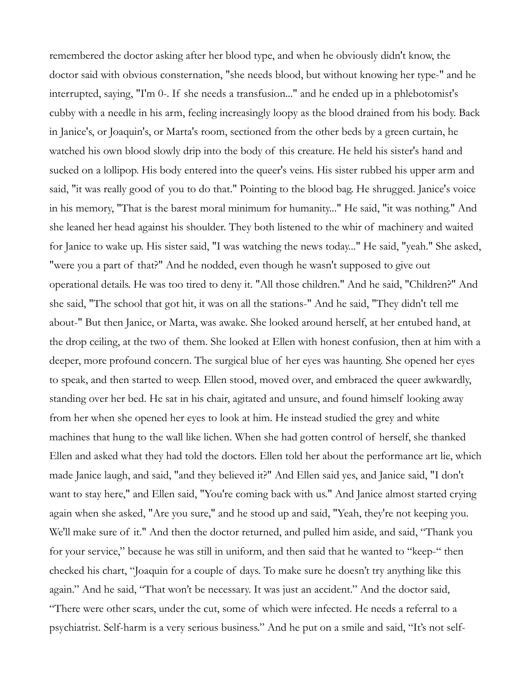remembered the doctor asking after her blood type, and when he obviously didn't know, the doctor said with obvious consternation, "she needs blood, but without knowing her type-" and he interrupted, saying, "I'm 0-. If she needs a transfusion..." and he ended up in a phlebotomist's cubby with a needle in his arm, feeling increasingly loopy as the blood drained from his body. Back in Janice's, or Joaquin's, or Marta's room, sectioned from the other beds by a green curtain, he watched his own blood slowly drip into the body of this creature. He held his sister's hand and sucked on a lollipop. His body entered into the queer's veins. His sister rubbed his upper arm and said, "it was really good of you to do that." Pointing to the blood bag. He shrugged. Janice's voice in his memory, "That is the barest moral minimum for humanity..." He said, "it was nothing." And she leaned her head against his shoulder. They both listened to the whir of machinery and waited for Janice to wake up. His sister said, "I was watching the news today..." He said, "yeah." She asked, "were you a part of that?" And he nodded, even though he wasn't supposed to give out operational details. He was too tired to deny it. "All those children." And he said, "Children?" And she said, "The school that got hit, it was on all the stations-" And he said, "They didn't tell me about-" But then Janice, or Marta, was awake. She looked around herself, at her entubed hand, at the drop ceiling, at the two of them. She looked at Ellen with honest confusion, then at him with a deeper, more profound concern. The surgical blue of her eyes was haunting. She opened her eyes to speak, and then started to weep. Ellen stood, moved over, and embraced the queer awkwardly, standing over her bed. He sat in his chair, agitated and unsure, and found himself looking away from her when she opened her eyes to look at him. He instead studied the grey and white machines that hung to the wall like lichen. When she had gotten control of herself, she thanked Ellen and asked what they had told the doctors. Ellen told her about the performance art lie, which made Janice laugh, and said, "and they believed it?" And Ellen said yes, and Janice said, "I don't want to stay here," and Ellen said, "You're coming back with us." And Janice almost started crying again when she asked, "Are you sure," and he stood up and said, "Yeah, they're not keeping you. We'll make sure of it." And then the doctor returned, and pulled him aside, and said, "Thank you for your service," because he was still in uniform, and then said that he wanted to "keep-" then checked his chart, "Joaquin for a couple of days. To make sure he doesn't try anything like this again." And he said, "That won't be necessary. It was just an accident." And the doctor said, "There were other scars, under the cut, some of which were infected. He needs a referral to a psychiatrist. Self-harm is a very serious business." And he put on a smile and said, "It's not self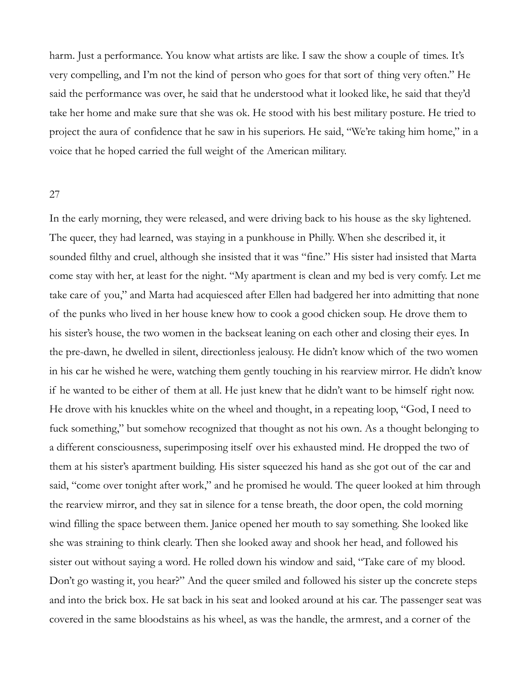harm. Just a performance. You know what artists are like. I saw the show a couple of times. It's very compelling, and I'm not the kind of person who goes for that sort of thing very often." He said the performance was over, he said that he understood what it looked like, he said that they'd take her home and make sure that she was ok. He stood with his best military posture. He tried to project the aura of confidence that he saw in his superiors. He said, "We're taking him home," in a voice that he hoped carried the full weight of the American military.

27

In the early morning, they were released, and were driving back to his house as the sky lightened. The queer, they had learned, was staying in a punkhouse in Philly. When she described it, it sounded filthy and cruel, although she insisted that it was "fine." His sister had insisted that Marta come stay with her, at least for the night. "My apartment is clean and my bed is very comfy. Let me take care of you," and Marta had acquiesced after Ellen had badgered her into admitting that none of the punks who lived in her house knew how to cook a good chicken soup. He drove them to his sister's house, the two women in the backseat leaning on each other and closing their eyes. In the pre-dawn, he dwelled in silent, directionless jealousy. He didn't know which of the two women in his car he wished he were, watching them gently touching in his rearview mirror. He didn't know if he wanted to be either of them at all. He just knew that he didn't want to be himself right now. He drove with his knuckles white on the wheel and thought, in a repeating loop, "God, I need to fuck something," but somehow recognized that thought as not his own. As a thought belonging to a different consciousness, superimposing itself over his exhausted mind. He dropped the two of them at his sister's apartment building. His sister squeezed his hand as she got out of the car and said, "come over tonight after work," and he promised he would. The queer looked at him through the rearview mirror, and they sat in silence for a tense breath, the door open, the cold morning wind filling the space between them. Janice opened her mouth to say something. She looked like she was straining to think clearly. Then she looked away and shook her head, and followed his sister out without saying a word. He rolled down his window and said, "Take care of my blood. Don't go wasting it, you hear?" And the queer smiled and followed his sister up the concrete steps and into the brick box. He sat back in his seat and looked around at his car. The passenger seat was covered in the same bloodstains as his wheel, as was the handle, the armrest, and a corner of the